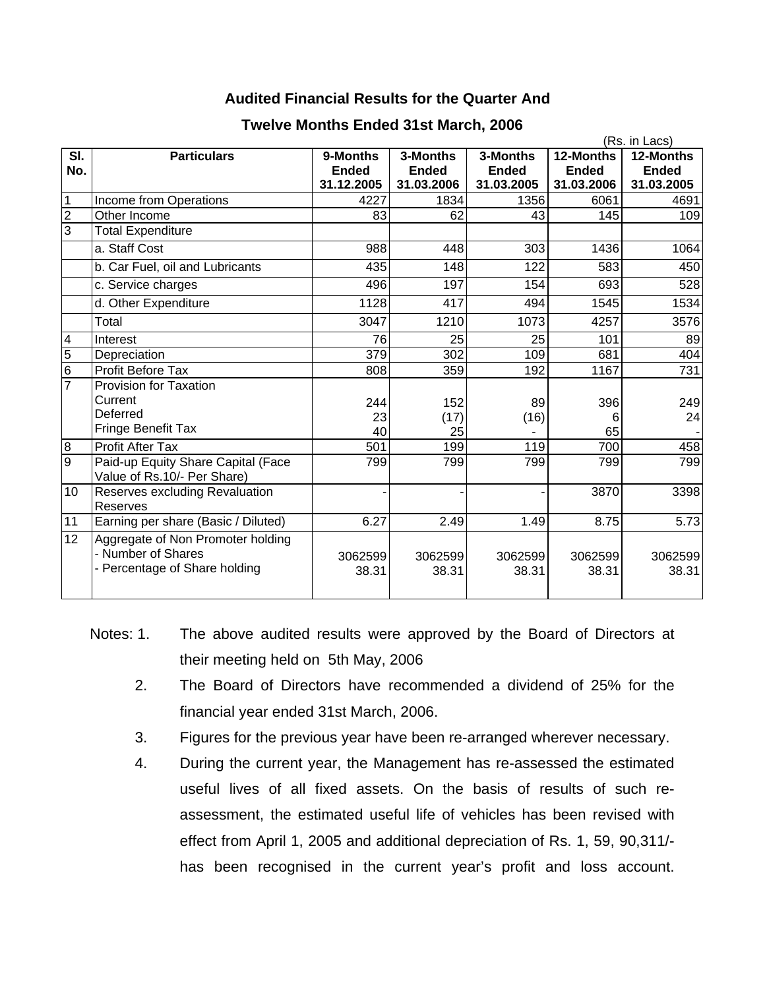## **Audited Financial Results for the Quarter And**

|                |                                                                                          |                          |                          |                          | (Rs. in Lacs)             |                           |  |  |
|----------------|------------------------------------------------------------------------------------------|--------------------------|--------------------------|--------------------------|---------------------------|---------------------------|--|--|
| SI.<br>No.     | <b>Particulars</b>                                                                       | 9-Months<br><b>Ended</b> | 3-Months<br><b>Ended</b> | 3-Months<br><b>Ended</b> | 12-Months<br><b>Ended</b> | 12-Months<br><b>Ended</b> |  |  |
|                |                                                                                          | 31.12.2005               | 31.03.2006               | 31.03.2005               | 31.03.2006                | 31.03.2005                |  |  |
| $\overline{1}$ | Income from Operations                                                                   | 4227                     | 1834                     | 1356                     | 6061                      | 4691                      |  |  |
| $\overline{c}$ | Other Income                                                                             | 83                       | 62                       | 43                       | 145                       | 109                       |  |  |
| િ              | <b>Total Expenditure</b>                                                                 |                          |                          |                          |                           |                           |  |  |
|                | a. Staff Cost                                                                            | 988                      | 448                      | 303                      | 1436                      | 1064                      |  |  |
|                | b. Car Fuel, oil and Lubricants                                                          | 435                      | 148                      | 122                      | 583                       | 450                       |  |  |
|                | c. Service charges                                                                       | 496                      | 197                      | 154                      | 693                       | 528                       |  |  |
|                | d. Other Expenditure                                                                     | 1128                     | 417                      | 494                      | 1545                      | 1534                      |  |  |
|                | Total                                                                                    | 3047                     | 1210                     | 1073                     | 4257                      | 3576                      |  |  |
| $\overline{4}$ | Interest                                                                                 | 76                       | 25                       | 25                       | 101                       | 89                        |  |  |
| $\overline{5}$ | Depreciation                                                                             | 379                      | 302                      | 109                      | 681                       | 404                       |  |  |
| $\frac{1}{2}$  | <b>Profit Before Tax</b>                                                                 | 808                      | 359                      | 192                      | 1167                      | 731                       |  |  |
|                | <b>Provision for Taxation</b>                                                            |                          |                          |                          |                           |                           |  |  |
|                | Current                                                                                  | 244                      | 152                      | 89                       | 396                       | 249                       |  |  |
|                | Deferred                                                                                 | 23                       | (17)                     | (16)                     | 6                         | 24                        |  |  |
|                | Fringe Benefit Tax                                                                       | 40                       | 25                       |                          | 65                        |                           |  |  |
| $\overline{8}$ | Profit After Tax                                                                         | 501                      | 199                      | 119                      | 700                       | 458                       |  |  |
| g              | Paid-up Equity Share Capital (Face<br>Value of Rs.10/- Per Share)                        | 799                      | 799                      | 799                      | 799                       | 799                       |  |  |
| 10             | Reserves excluding Revaluation<br><b>Reserves</b>                                        |                          |                          |                          | 3870                      | 3398                      |  |  |
| 11             | Earning per share (Basic / Diluted)                                                      | 6.27                     | 2.49                     | 1.49                     | 8.75                      | 5.73                      |  |  |
| 12             | Aggregate of Non Promoter holding<br>- Number of Shares<br>- Percentage of Share holding | 3062599<br>38.31         | 3062599<br>38.31         | 3062599<br>38.31         | 3062599<br>38.31          | 3062599<br>38.31          |  |  |

## **Twelve Months Ended 31st March, 2006**

- Notes: 1. The above audited results were approved by the Board of Directors at their meeting held on 5th May, 2006
	- 2. The Board of Directors have recommended a dividend of 25% for the financial year ended 31st March, 2006.
	- 3. Figures for the previous year have been re-arranged wherever necessary.
	- 4. During the current year, the Management has re-assessed the estimated useful lives of all fixed assets. On the basis of results of such reassessment, the estimated useful life of vehicles has been revised with effect from April 1, 2005 and additional depreciation of Rs. 1, 59, 90,311/ has been recognised in the current year's profit and loss account.